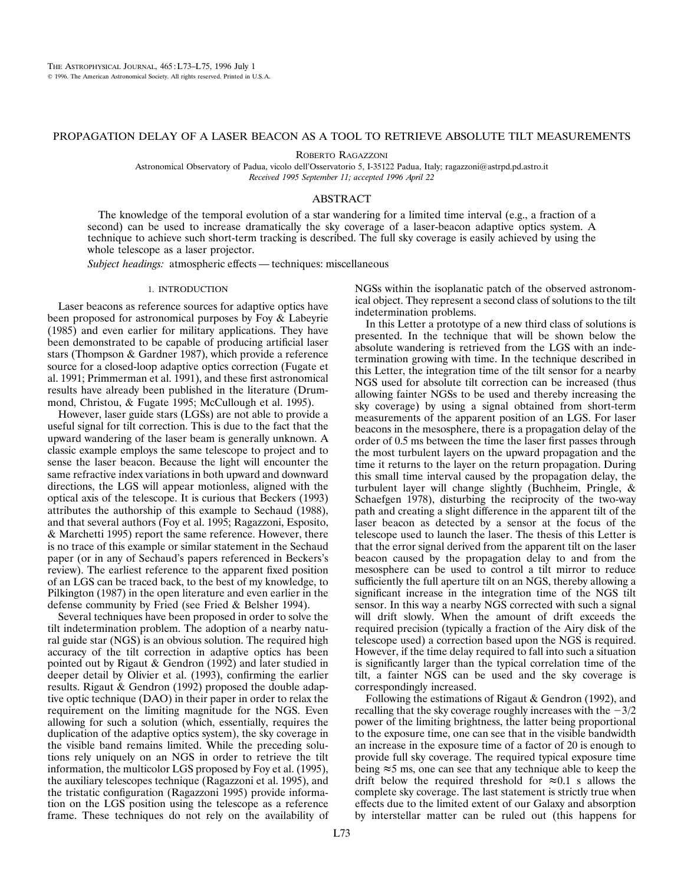# PROPAGATION DELAY OF A LASER BEACON AS A TOOL TO RETRIEVE ABSOLUTE TILT MEASUREMENTS

ROBERTO RAGAZZONI

Astronomical Observatory of Padua, vicolo dell'Osservatorio 5, I-35122 Padua, Italy; ragazzoni@astrpd.pd.astro.it *Received 1995 September 11; accepted 1996 April 22*

## ABSTRACT

The knowledge of the temporal evolution of a star wandering for a limited time interval (e.g., a fraction of a second) can be used to increase dramatically the sky coverage of a laser-beacon adaptive optics system. A technique to achieve such short-term tracking is described. The full sky coverage is easily achieved by using the whole telescope as a laser projector.

*Subject headings:* atmospheric effects — techniques: miscellaneous

# 1. INTRODUCTION

Laser beacons as reference sources for adaptive optics have been proposed for astronomical purposes by Foy & Labeyrie (1985) and even earlier for military applications. They have been demonstrated to be capable of producing artificial laser stars (Thompson & Gardner 1987), which provide a reference source for a closed-loop adaptive optics correction (Fugate et al. 1991; Primmerman et al. 1991), and these first astronomical results have already been published in the literature (Drummond, Christou, & Fugate 1995; McCullough et al. 1995).

However, laser guide stars (LGSs) are not able to provide a useful signal for tilt correction. This is due to the fact that the upward wandering of the laser beam is generally unknown. A classic example employs the same telescope to project and to sense the laser beacon. Because the light will encounter the same refractive index variations in both upward and downward directions, the LGS will appear motionless, aligned with the optical axis of the telescope. It is curious that Beckers (1993) attributes the authorship of this example to Sechaud (1988), and that several authors (Foy et al. 1995; Ragazzoni, Esposito, & Marchetti 1995) report the same reference. However, there is no trace of this example or similar statement in the Sechaud paper (or in any of Sechaud's papers referenced in Beckers's review). The earliest reference to the apparent fixed position of an LGS can be traced back, to the best of my knowledge, to Pilkington (1987) in the open literature and even earlier in the defense community by Fried (see Fried & Belsher 1994).

Several techniques have been proposed in order to solve the tilt indetermination problem. The adoption of a nearby natural guide star (NGS) is an obvious solution. The required high accuracy of the tilt correction in adaptive optics has been pointed out by Rigaut & Gendron (1992) and later studied in deeper detail by Olivier et al. (1993), confirming the earlier results. Rigaut & Gendron (1992) proposed the double adaptive optic technique (DAO) in their paper in order to relax the requirement on the limiting magnitude for the NGS. Even allowing for such a solution (which, essentially, requires the duplication of the adaptive optics system), the sky coverage in the visible band remains limited. While the preceding solutions rely uniquely on an NGS in order to retrieve the tilt information, the multicolor LGS proposed by Foy et al. (1995), the auxiliary telescopes technique (Ragazzoni et al. 1995), and the tristatic configuration (Ragazzoni 1995) provide information on the LGS position using the telescope as a reference frame. These techniques do not rely on the availability of NGSs within the isoplanatic patch of the observed astronomical object. They represent a second class of solutions to the tilt indetermination problems.

In this Letter a prototype of a new third class of solutions is presented. In the technique that will be shown below the absolute wandering is retrieved from the LGS with an indetermination growing with time. In the technique described in this Letter, the integration time of the tilt sensor for a nearby NGS used for absolute tilt correction can be increased (thus allowing fainter NGSs to be used and thereby increasing the sky coverage) by using a signal obtained from short-term measurements of the apparent position of an LGS. For laser beacons in the mesosphere, there is a propagation delay of the order of 0.5 ms between the time the laser first passes through the most turbulent layers on the upward propagation and the time it returns to the layer on the return propagation. During this small time interval caused by the propagation delay, the turbulent layer will change slightly (Buchheim, Pringle, & Schaefgen 1978), disturbing the reciprocity of the two-way path and creating a slight difference in the apparent tilt of the laser beacon as detected by a sensor at the focus of the telescope used to launch the laser. The thesis of this Letter is that the error signal derived from the apparent tilt on the laser beacon caused by the propagation delay to and from the mesosphere can be used to control a tilt mirror to reduce sufficiently the full aperture tilt on an NGS, thereby allowing a significant increase in the integration time of the NGS tilt sensor. In this way a nearby NGS corrected with such a signal will drift slowly. When the amount of drift exceeds the required precision (typically a fraction of the Airy disk of the telescope used) a correction based upon the NGS is required. However, if the time delay required to fall into such a situation is significantly larger than the typical correlation time of the tilt, a fainter NGS can be used and the sky coverage is correspondingly increased.

Following the estimations of Rigaut & Gendron (1992), and recalling that the sky coverage roughly increases with the  $-3/2$ power of the limiting brightness, the latter being proportional to the exposure time, one can see that in the visible bandwidth an increase in the exposure time of a factor of 20 is enough to provide full sky coverage. The required typical exposure time being  $\approx$  5 ms, one can see that any technique able to keep the drift below the required threshold for  $\approx 0.1$  s allows the complete sky coverage. The last statement is strictly true when effects due to the limited extent of our Galaxy and absorption by interstellar matter can be ruled out (this happens for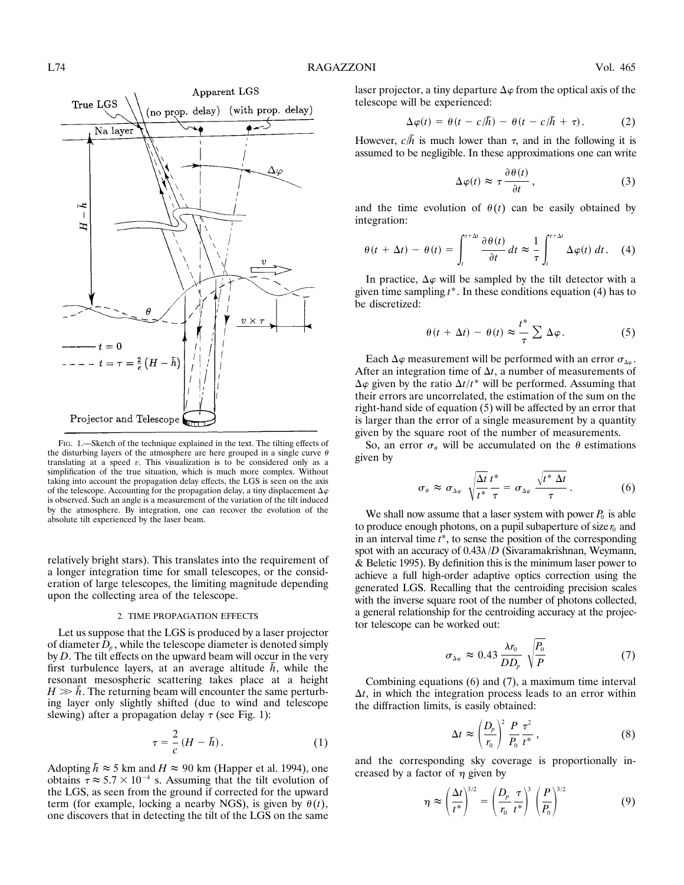

FIG. 1.—Sketch of the technique explained in the text. The tilting effects of the disturbing layers of the atmosphere are here grouped in a single curve  $\theta$ translating at a speed *v*. This visualization is to be considered only as a simplification of the true situation, which is much more complex. Without taking into account the propagation delay effects, the LGS is seen on the axis of the telescope. Accounting for the propagation delay, a tiny displacement  $\Delta\varphi$ is observed. Such an angle is a measurement of the variation of the tilt induced by the atmosphere. By integration, one can recover the evolution of the absolute tilt experienced by the laser beam.

relatively bright stars). This translates into the requirement of a longer integration time for small telescopes, or the consideration of large telescopes, the limiting magnitude depending upon the collecting area of the telescope.

### 2. TIME PROPAGATION EFFECTS

Let us suppose that the LGS is produced by a laser projector of diameter  $D<sub>p</sub>$ , while the telescope diameter is denoted simply by *D*. The tilt effects on the upward beam will occur in the very first turbulence layers, at an average altitude  $\bar{h}$ , while the resonant mesospheric scattering takes place at a height  $H \gg \bar{h}$ . The returning beam will encounter the same perturbing layer only slightly shifted (due to wind and telescope slewing) after a propagation delay  $\tau$  (see Fig. 1):

$$
\tau = \frac{2}{c} \left( H - \bar{h} \right). \tag{1}
$$

Adopting  $\bar{h} \approx 5$  km and  $H \approx 90$  km (Happer et al. 1994), one obtains  $\tau \approx 5.7 \times 10^{-4}$  s. Assuming that the tilt evolution of the LGS, as seen from the ground if corrected for the upward term (for example, locking a nearby NGS), is given by  $\theta(t)$ , one discovers that in detecting the tilt of the LGS on the same

laser projector, a tiny departure  $\Delta\varphi$  from the optical axis of the telescope will be experienced:

$$
\Delta \varphi(t) = \theta(t - c/\bar{h}) - \theta(t - c/\bar{h} + \tau). \tag{2}
$$

However,  $c/\bar{h}$  is much lower than  $\tau$ , and in the following it is assumed to be negligible. In these approximations one can write

$$
\Delta \varphi(t) \approx \tau \frac{\partial \theta(t)}{\partial t}, \qquad (3)
$$

and the time evolution of  $\theta(t)$  can be easily obtained by integration:

$$
\theta(t + \Delta t) - \theta(t) = \int_{t}^{t + \Delta t} \frac{\partial \theta(t)}{\partial t} dt \approx \frac{1}{\tau} \int_{t}^{t + \Delta t} \Delta \varphi(t) dt.
$$
 (4)

In practice,  $\Delta \varphi$  will be sampled by the tilt detector with a given time sampling *t*\*. In these conditions equation (4) has to be discretized:

$$
\theta(t + \Delta t) - \theta(t) \approx \frac{t^*}{\tau} \sum \Delta \varphi.
$$
 (5)

Each  $\Delta\varphi$  measurement will be performed with an error  $\sigma_{\Delta\varphi}$ . After an integration time of  $\Delta t$ , a number of measurements of  $\Delta \varphi$  given by the ratio  $\Delta t/t^*$  will be performed. Assuming that their errors are uncorrelated, the estimation of the sum on the right-hand side of equation (5) will be affected by an error that is larger than the error of a single measurement by a quantity given by the square root of the number of measurements.

So, an error  $\sigma_{\theta}$  will be accumulated on the  $\theta$  estimations given by

$$
\sigma_{\theta} \approx \sigma_{\Delta\varphi} \sqrt{\frac{\Delta t}{t^*}} \frac{t^*}{\tau} = \sigma_{\Delta\varphi} \frac{\sqrt{t^* \Delta t}}{\tau} . \qquad (6)
$$

We shall now assume that a laser system with power  $P_0$  is able to produce enough photons, on a pupil subaperture of size  $r_0$  and in an interval time *t*\*, to sense the position of the corresponding spot with an accuracy of  $0.43\lambda/D$  (Sivaramakrishnan, Weymann, & Beletic 1995). By definition this is the minimum laser power to achieve a full high-order adaptive optics correction using the generated LGS. Recalling that the centroiding precision scales with the inverse square root of the number of photons collected, a general relationship for the centroiding accuracy at the projector telescope can be worked out:

$$
\sigma_{\Delta\varphi} \approx 0.43 \frac{\lambda r_0}{DD_p} \sqrt{\frac{P_0}{P}} \tag{7}
$$

Combining equations (6) and (7), a maximum time interval  $\Delta t$ , in which the integration process leads to an error within the diffraction limits, is easily obtained:

$$
\Delta t \approx \left(\frac{D_p}{r_0}\right)^2 \frac{P}{P_0} \frac{\tau^2}{t^*} \,,\tag{8}
$$

and the corresponding sky coverage is proportionally increased by a factor of  $\eta$  given by

$$
\eta \approx \left(\frac{\Delta t}{t^*}\right)^{3/2} = \left(\frac{D_p}{r_0} \frac{\tau}{t^*}\right)^3 \left(\frac{P}{P_0}\right)^{3/2} \tag{9}
$$